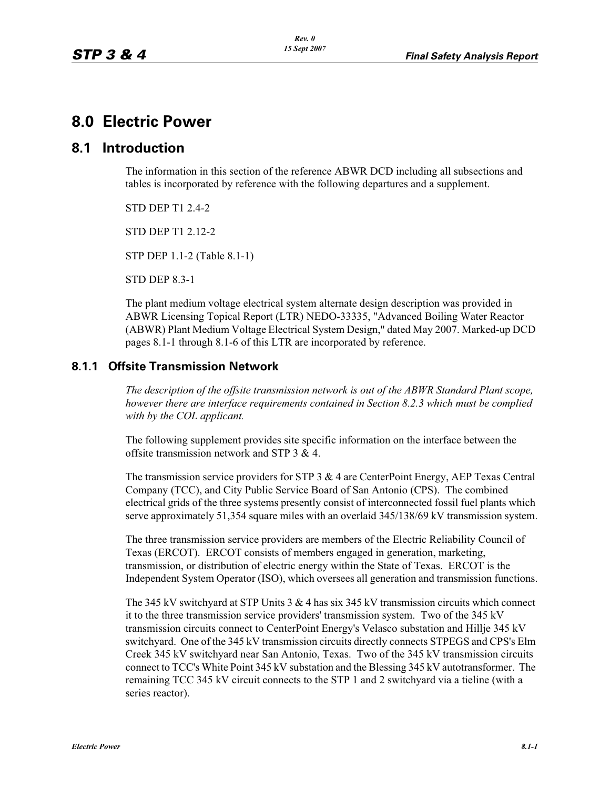# **8.0 Electric Power**

## **8.1 Introduction**

The information in this section of the reference ABWR DCD including all subsections and tables is incorporated by reference with the following departures and a supplement.

STD DEP T1 2.4-2

STD DEP T1 2.12-2

STP DEP 1.1-2 (Table 8.1-1)

STD DEP 8.3-1

The plant medium voltage electrical system alternate design description was provided in ABWR Licensing Topical Report (LTR) NEDO-33335, "Advanced Boiling Water Reactor (ABWR) Plant Medium Voltage Electrical System Design," dated May 2007. Marked-up DCD pages 8.1-1 through 8.1-6 of this LTR are incorporated by reference.

### **8.1.1 Offsite Transmission Network**

*The description of the offsite transmission network is out of the ABWR Standard Plant scope, however there are interface requirements contained in Section 8.2.3 which must be complied with by the COL applicant.* 

The following supplement provides site specific information on the interface between the offsite transmission network and STP 3 & 4.

The transmission service providers for STP 3 & 4 are CenterPoint Energy, AEP Texas Central Company (TCC), and City Public Service Board of San Antonio (CPS). The combined electrical grids of the three systems presently consist of interconnected fossil fuel plants which serve approximately 51,354 square miles with an overlaid 345/138/69 kV transmission system.

The three transmission service providers are members of the Electric Reliability Council of Texas (ERCOT). ERCOT consists of members engaged in generation, marketing, transmission, or distribution of electric energy within the State of Texas. ERCOT is the Independent System Operator (ISO), which oversees all generation and transmission functions.

The 345 kV switchyard at STP Units 3 & 4 has six 345 kV transmission circuits which connect it to the three transmission service providers' transmission system. Two of the 345 kV transmission circuits connect to CenterPoint Energy's Velasco substation and Hillje 345 kV switchyard. One of the 345 kV transmission circuits directly connects STPEGS and CPS's Elm Creek 345 kV switchyard near San Antonio, Texas. Two of the 345 kV transmission circuits connect to TCC's White Point 345 kV substation and the Blessing 345 kV autotransformer. The remaining TCC 345 kV circuit connects to the STP 1 and 2 switchyard via a tieline (with a series reactor).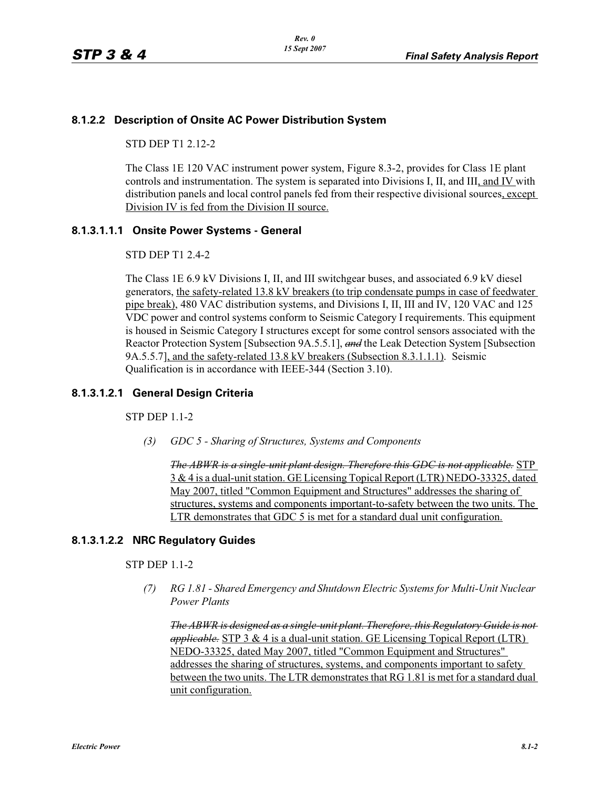### **8.1.2.2 Description of Onsite AC Power Distribution System**

STD DEP T1 2.12-2

The Class 1E 120 VAC instrument power system, Figure 8.3-2, provides for Class 1E plant controls and instrumentation. The system is separated into Divisions I, II, and III, and IV with distribution panels and local control panels fed from their respective divisional sources, except Division IV is fed from the Division II source.

#### **8.1.3.1.1.1 Onsite Power Systems - General**

#### STD DEP T1 2.4-2

The Class 1E 6.9 kV Divisions I, II, and III switchgear buses, and associated 6.9 kV diesel generators, the safety-related 13.8 kV breakers (to trip condensate pumps in case of feedwater pipe break), 480 VAC distribution systems, and Divisions I, II, III and IV, 120 VAC and 125 VDC power and control systems conform to Seismic Category I requirements. This equipment is housed in Seismic Category I structures except for some control sensors associated with the Reactor Protection System [Subsection 9A.5.5.1], *and* the Leak Detection System [Subsection 9A.5.5.7], and the safety-related 13.8 kV breakers (Subsection 8.3.1.1.1). Seismic Qualification is in accordance with IEEE-344 (Section 3.10).

#### **8.1.3.1.2.1 General Design Criteria**

STP DEP 1.1-2

*(3) GDC 5 - Sharing of Structures, Systems and Components* 

*The ABWR is a single-unit plant design. Therefore this GDC is not applicable.* STP 3 & 4 is a dual-unit station. GE Licensing Topical Report (LTR) NEDO-33325, dated May 2007, titled "Common Equipment and Structures" addresses the sharing of structures, systems and components important-to-safety between the two units. The LTR demonstrates that GDC 5 is met for a standard dual unit configuration.

#### **8.1.3.1.2.2 NRC Regulatory Guides**

STP DEP 1.1-2

*(7) RG 1.81 - Shared Emergency and Shutdown Electric Systems for Multi-Unit Nuclear Power Plants* 

*The ABWR is designed as a single-unit plant. Therefore, this Regulatory Guide is not applicable.* STP 3 & 4 is a dual-unit station. GE Licensing Topical Report (LTR) NEDO-33325, dated May 2007, titled "Common Equipment and Structures" addresses the sharing of structures, systems, and components important to safety between the two units. The LTR demonstrates that RG 1.81 is met for a standard dual unit configuration.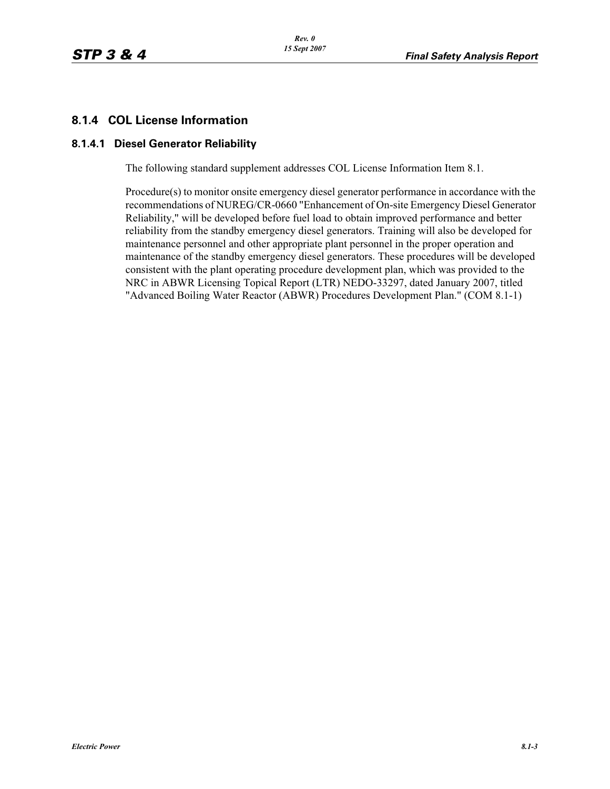## **8.1.4 COL License Information**

#### **8.1.4.1 Diesel Generator Reliability**

The following standard supplement addresses COL License Information Item 8.1.

Procedure(s) to monitor onsite emergency diesel generator performance in accordance with the recommendations of NUREG/CR-0660 "Enhancement of On-site Emergency Diesel Generator Reliability," will be developed before fuel load to obtain improved performance and better reliability from the standby emergency diesel generators. Training will also be developed for maintenance personnel and other appropriate plant personnel in the proper operation and maintenance of the standby emergency diesel generators. These procedures will be developed consistent with the plant operating procedure development plan, which was provided to the NRC in ABWR Licensing Topical Report (LTR) NEDO-33297, dated January 2007, titled "Advanced Boiling Water Reactor (ABWR) Procedures Development Plan." (COM 8.1-1)